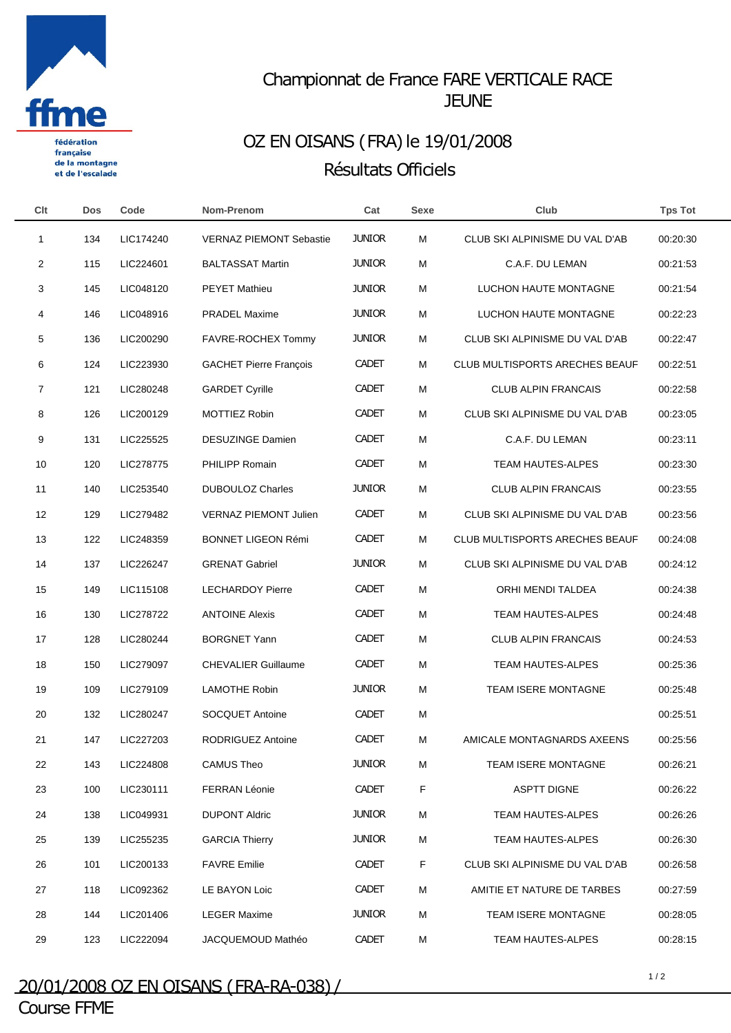

française de la montagne et de l'escalade

## Championnat de France FARE VERTICALE RACE **JEUNE**

## OZ EN OISANS (FRA) le 19/01/2008 Résultats Officiels

| Clt            | <b>Dos</b> | Code      | Nom-Prenom                     | Cat           | <b>Sexe</b> | Club                                  | <b>Tps Tot</b> |
|----------------|------------|-----------|--------------------------------|---------------|-------------|---------------------------------------|----------------|
| -1             | 134        | LIC174240 | <b>VERNAZ PIEMONT Sebastie</b> | <b>JUNIOR</b> | M           | CLUB SKI ALPINISME DU VAL D'AB        | 00:20:30       |
| $\overline{2}$ | 115        | LIC224601 | <b>BALTASSAT Martin</b>        | <b>JUNIOR</b> | M           | C.A.F. DU LEMAN                       | 00:21:53       |
| 3              | 145        | LIC048120 | <b>PEYET Mathieu</b>           | <b>JUNIOR</b> | М           | LUCHON HAUTE MONTAGNE                 | 00:21:54       |
| 4              | 146        | LIC048916 | <b>PRADEL Maxime</b>           | <b>JUNIOR</b> | M           | LUCHON HAUTE MONTAGNE                 | 00:22:23       |
| 5              | 136        | LIC200290 | FAVRE-ROCHEX Tommy             | <b>JUNIOR</b> | M           | CLUB SKI ALPINISME DU VAL D'AB        | 00:22:47       |
| 6              | 124        | LIC223930 | <b>GACHET Pierre François</b>  | <b>CADET</b>  | М           | <b>CLUB MULTISPORTS ARECHES BEAUF</b> | 00:22:51       |
| 7              | 121        | LIC280248 | <b>GARDET Cyrille</b>          | <b>CADET</b>  | M           | <b>CLUB ALPIN FRANCAIS</b>            | 00:22:58       |
| 8              | 126        | LIC200129 | <b>MOTTIEZ Robin</b>           | <b>CADET</b>  | M           | CLUB SKI ALPINISME DU VAL D'AB        | 00:23:05       |
| 9              | 131        | LIC225525 | <b>DESUZINGE Damien</b>        | <b>CADET</b>  | M           | C.A.F. DU LEMAN                       | 00:23:11       |
| 10             | 120        | LIC278775 | <b>PHILIPP Romain</b>          | <b>CADET</b>  | M           | <b>TEAM HAUTES-ALPES</b>              | 00:23:30       |
| 11             | 140        | LIC253540 | <b>DUBOULOZ Charles</b>        | <b>JUNIOR</b> | M           | <b>CLUB ALPIN FRANCAIS</b>            | 00:23:55       |
| 12             | 129        | LIC279482 | <b>VERNAZ PIEMONT Julien</b>   | <b>CADET</b>  | M           | CLUB SKI ALPINISME DU VAL D'AB        | 00:23:56       |
| 13             | 122        | LIC248359 | <b>BONNET LIGEON Rémi</b>      | <b>CADET</b>  | М           | <b>CLUB MULTISPORTS ARECHES BEAUF</b> | 00:24:08       |
| 14             | 137        | LIC226247 | <b>GRENAT Gabriel</b>          | <b>JUNIOR</b> | M           | CLUB SKI ALPINISME DU VAL D'AB        | 00:24:12       |
| 15             | 149        | LIC115108 | <b>LECHARDOY Pierre</b>        | <b>CADET</b>  | M           | ORHI MENDI TALDEA                     | 00:24:38       |
| 16             | 130        | LIC278722 | <b>ANTOINE Alexis</b>          | <b>CADET</b>  | M           | <b>TEAM HAUTES-ALPES</b>              | 00:24:48       |
| 17             | 128        | LIC280244 | <b>BORGNET Yann</b>            | <b>CADET</b>  | M           | <b>CLUB ALPIN FRANCAIS</b>            | 00:24:53       |
| 18             | 150        | LIC279097 | <b>CHEVALIER Guillaume</b>     | <b>CADET</b>  | M           | TEAM HAUTES-ALPES                     | 00:25:36       |
| 19             | 109        | LIC279109 | <b>LAMOTHE Robin</b>           | <b>JUNIOR</b> | M           | TEAM ISERE MONTAGNE                   | 00:25:48       |
| 20             | 132        | LIC280247 | <b>SOCQUET Antoine</b>         | <b>CADET</b>  | M           |                                       | 00:25:51       |
| 21             | 147        | LIC227203 | <b>RODRIGUEZ Antoine</b>       | <b>CADET</b>  | M           | AMICALE MONTAGNARDS AXEENS            | 00:25:56       |
| 22             | 143        | LIC224808 | <b>CAMUS Theo</b>              | <b>JUNIOR</b> | М           | TEAM ISERE MONTAGNE                   | 00:26:21       |
| 23             | 100        | LIC230111 | <b>FERRAN Léonie</b>           | <b>CADET</b>  | F           | <b>ASPTT DIGNE</b>                    | 00:26:22       |
| 24             | 138        | LIC049931 | <b>DUPONT Aldric</b>           | <b>JUNIOR</b> | М           | TEAM HAUTES-ALPES                     | 00:26:26       |
| 25             | 139        | LIC255235 | <b>GARCIA Thierry</b>          | <b>JUNIOR</b> | М           | TEAM HAUTES-ALPES                     | 00:26:30       |
| 26             | 101        | LIC200133 | <b>FAVRE Emilie</b>            | CADET         | F           | CLUB SKI ALPINISME DU VAL D'AB        | 00:26:58       |
| 27             | 118        | LIC092362 | LE BAYON Loic                  | <b>CADET</b>  | М           | AMITIE ET NATURE DE TARBES            | 00:27:59       |
| 28             | 144        | LIC201406 | <b>LEGER Maxime</b>            | <b>JUNIOR</b> | М           | TEAM ISERE MONTAGNE                   | 00:28:05       |
| 29             | 123        | LIC222094 | JACQUEMOUD Mathéo              | CADET         | M           | TEAM HAUTES-ALPES                     | 00:28:15       |
|                |            |           |                                |               |             |                                       |                |